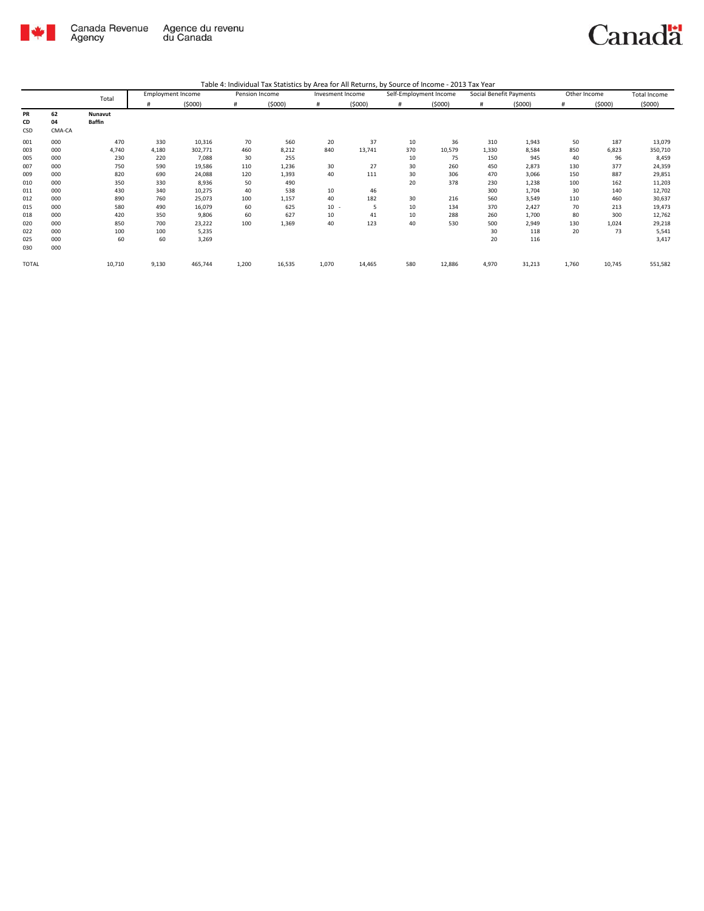

## Canadä

| Table 4: Individual Tax Statistics by Area for All Returns, by Source of Income - 2013 Tax Year |  |  |
|-------------------------------------------------------------------------------------------------|--|--|
|                                                                                                 |  |  |

|              | <b>Employment Income</b><br>Total |               |       | Pension Income |       | Invesment Income |       | Self-Employment Income |     | Social Benefit Payments | Other Income |        | <b>Total Income</b> |        |         |
|--------------|-----------------------------------|---------------|-------|----------------|-------|------------------|-------|------------------------|-----|-------------------------|--------------|--------|---------------------|--------|---------|
|              |                                   |               | #     | (5000)         | #     | (5000)           | #     | (5000)                 | #   | (5000)                  | #            | (5000) | #                   | (5000) | (5000)  |
| <b>PR</b>    | 62                                | Nunavut       |       |                |       |                  |       |                        |     |                         |              |        |                     |        |         |
| CD           | 04                                | <b>Baffin</b> |       |                |       |                  |       |                        |     |                         |              |        |                     |        |         |
| CSD          | CMA-CA                            |               |       |                |       |                  |       |                        |     |                         |              |        |                     |        |         |
| 001          | 000                               | 470           | 330   | 10,316         | 70    | 560              | 20    | 37                     | 10  | 36                      | 310          | 1,943  | 50                  | 187    | 13,079  |
| 003          | 000                               | 4,740         | 4,180 | 302,771        | 460   | 8,212            | 840   | 13,741                 | 370 | 10,579                  | 1,330        | 8,584  | 850                 | 6,823  | 350,710 |
| 005          | 000                               | 230           | 220   | 7,088          | 30    | 255              |       |                        | 10  | 75                      | 150          | 945    | 40                  | 96     | 8,459   |
| 007          | 000                               | 750           | 590   | 19,586         | 110   | 1,236            | 30    | 27                     | 30  | 260                     | 450          | 2,873  | 130                 | 377    | 24,359  |
| 009          | 000                               | 820           | 690   | 24,088         | 120   | 1,393            | 40    | 111                    | 30  | 306                     | 470          | 3,066  | 150                 | 887    | 29,851  |
| 010          | 000                               | 350           | 330   | 8,936          | 50    | 490              |       |                        | 20  | 378                     | 230          | 1,238  | 100                 | 162    | 11,203  |
| 011          | 000                               | 430           | 340   | 10,275         | 40    | 538              | 10    | 46                     |     |                         | 300          | 1,704  | 30                  | 140    | 12,702  |
| 012          | 000                               | 890           | 760   | 25,073         | 100   | 1,157            | 40    | 182                    | 30  | 216                     | 560          | 3,549  | 110                 | 460    | 30,637  |
| 015          | 000                               | 580           | 490   | 16,079         | 60    | 625              | 10    | 5                      | 10  | 134                     | 370          | 2,427  | 70                  | 213    | 19,473  |
| 018          | 000                               | 420           | 350   | 9,806          | 60    | 627              | 10    | 41                     | 10  | 288                     | 260          | 1,700  | 80                  | 300    | 12,762  |
| 020          | 000                               | 850           | 700   | 23,222         | 100   | 1,369            | 40    | 123                    | 40  | 530                     | 500          | 2,949  | 130                 | 1,024  | 29,218  |
| 022          | 000                               | 100           | 100   | 5,235          |       |                  |       |                        |     |                         | 30           | 118    | 20                  | 73     | 5,541   |
| 025          | 000                               | 60            | 60    | 3,269          |       |                  |       |                        |     |                         | 20           | 116    |                     |        | 3,417   |
| 030          | 000                               |               |       |                |       |                  |       |                        |     |                         |              |        |                     |        |         |
| <b>TOTAL</b> |                                   | 10,710        | 9,130 | 465,744        | 1,200 | 16,535           | 1,070 | 14,465                 | 580 | 12,886                  | 4,970        | 31,213 | 1,760               | 10,745 | 551,582 |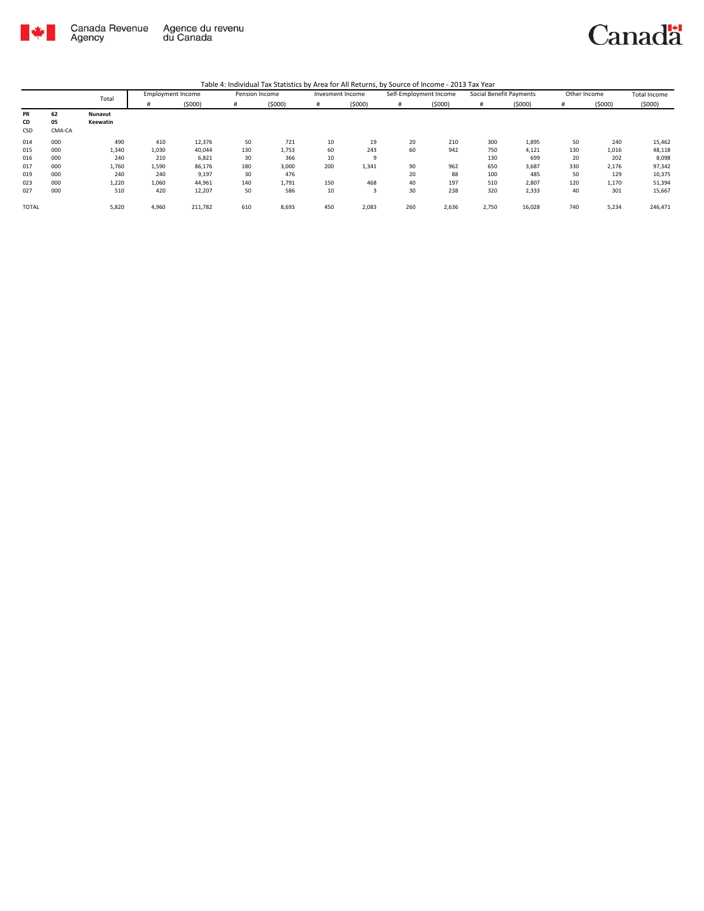

Table 4: Individual Tax Statistics by Area for All Returns, by Source of Income - 2013 Tax Year

|              | $\cdot$ , , , |          |                          |         |                |        |                  |          |                        |        |                         |        |              |        |              |
|--------------|---------------|----------|--------------------------|---------|----------------|--------|------------------|----------|------------------------|--------|-------------------------|--------|--------------|--------|--------------|
|              |               | Total    | <b>Employment Income</b> |         | Pension Income |        | Invesment Income |          | Self-Employment Income |        | Social Benefit Payments |        | Other Income |        | Total Income |
|              |               |          |                          | (5000)  | #              | (5000) | #                | (5000)   | #                      | (5000) | #                       | (5000) | #            | (5000) | (5000)       |
| PR           | 62            | Nunavut  |                          |         |                |        |                  |          |                        |        |                         |        |              |        |              |
| CD           | 05            | Keewatin |                          |         |                |        |                  |          |                        |        |                         |        |              |        |              |
| CSD          | CMA-CA        |          |                          |         |                |        |                  |          |                        |        |                         |        |              |        |              |
| 014          | 000           | 490      | 410                      | 12,376  | 50             | 721    | 10               | 19       | 20                     | 210    | 300                     | 1,895  | 50           | 240    | 15,462       |
| 015          | 000           | 1,340    | 1,030                    | 40,044  | 130            | 1,753  | 60               | 243      | 60                     | 942    | 750                     | 4,121  | 130          | 1,016  | 48,118       |
| 016          | 000           | 240      | 210                      | 6,821   | 30             | 366    | 10               | $\alpha$ |                        |        | 130                     | 699    | 20           | 202    | 8,098        |
| 017          | 000           | 1,760    | 1,590                    | 86,176  | 180            | 3,000  | 200              | 1,341    | 90                     | 962    | 650                     | 3,687  | 330          | 2,176  | 97,342       |
| 019          | 000           | 240      | 240                      | 9,197   | 30             | 476    |                  |          | 20                     | 88     | 100                     | 485    | 50           | 129    | 10,375       |
| 023          | 000           | 1,220    | 1,060                    | 44,961  | 140            | 1,791  | 150              | 468      | 40                     | 197    | 510                     | 2,807  | 120          | 1,170  | 51,394       |
| 027          | 000           | 510      | 420                      | 12,207  | 50             | 586    | 10               | 3        | 30                     | 238    | 320                     | 2,333  | 40           | 301    | 15,667       |
| <b>TOTAL</b> |               | 5,820    | 4,960                    | 211,782 | 610            | 8,693  | 450              | 2,083    | 260                    | 2,636  | 2,750                   | 16,028 | 740          | 5,234  | 246,471      |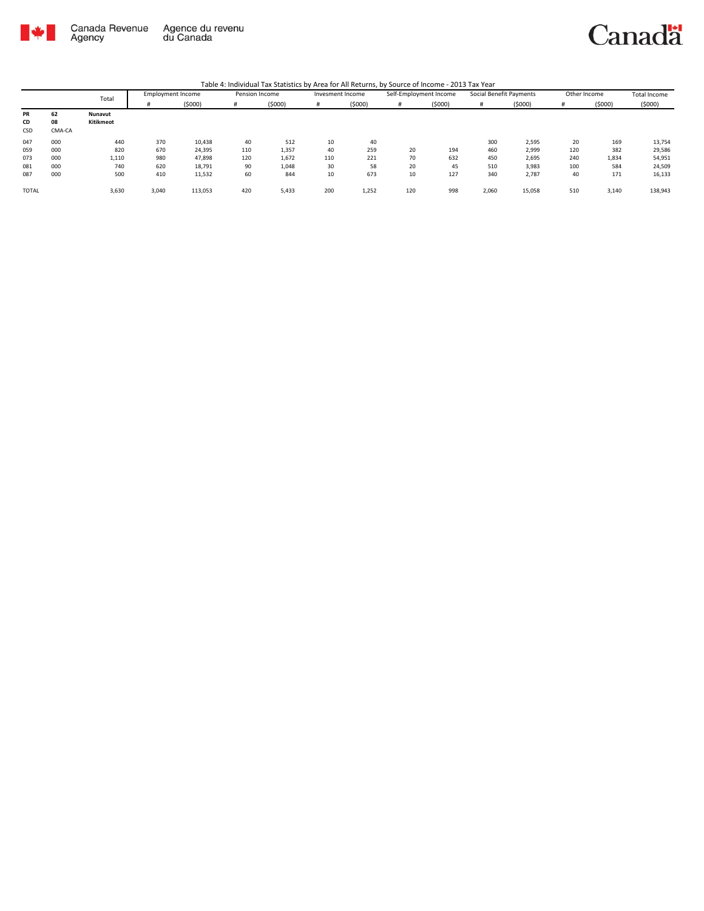

Canada Revenue<br>Agency Agence du revenu<br>du Canada



Table 4: Individual Tax Statistics by Area for All Returns, by Source of Income - 2013 Tax Year

|              | $\cdots$ |           |                          |         |                |        |                  |        |                        |        |                         |        |              |        |              |
|--------------|----------|-----------|--------------------------|---------|----------------|--------|------------------|--------|------------------------|--------|-------------------------|--------|--------------|--------|--------------|
|              | Total    |           | <b>Employment Income</b> |         | Pension Income |        | Invesment Income |        | Self-Employment Income |        | Social Benefit Payments |        | Other Income |        | Total Income |
|              |          |           |                          | (5000)  | #              | (5000) |                  | (5000) | #                      | (5000) |                         | (5000) |              | (5000) | (5000)       |
| PR           | 62       | Nunavut   |                          |         |                |        |                  |        |                        |        |                         |        |              |        |              |
| CD           | 08       | Kitikmeot |                          |         |                |        |                  |        |                        |        |                         |        |              |        |              |
| CSD          | CMA-CA   |           |                          |         |                |        |                  |        |                        |        |                         |        |              |        |              |
| 047          | 000      | 440       | 370                      | 10,438  | 40             | 512    | 10               | 40     |                        |        | 300                     | 2,595  | 20           | 169    | 13,754       |
| 059          | 000      | 820       | 670                      | 24,395  | 110            | 1,357  | 40               | 259    | 20                     | 194    | 460                     | 2,999  | 120          | 382    | 29,586       |
| 073          | 000      | 1,110     | 980                      | 47,898  | 120            | 1,672  | 110              | 221    | 70                     | 632    | 450                     | 2,695  | 240          | 1,834  | 54,951       |
| 081          | 000      | 740       | 620                      | 18,791  | 90             | 1,048  | 30               | 58     | 20                     | 45     | 510                     | 3,983  | 100          | 584    | 24,509       |
| 087          | 000      | 500       | 410                      | 11,532  | 60             | 844    | 10               | 673    | 10                     | 127    | 340                     | 2,787  | 40           | 171    | 16,133       |
| <b>TOTAL</b> |          | 3,630     | 3,040                    | 113,053 | 420            | 5,433  | 200              | 1,252  | 120                    | 998    | 2,060                   | 15,058 | 510          | 3,140  | 138,943      |